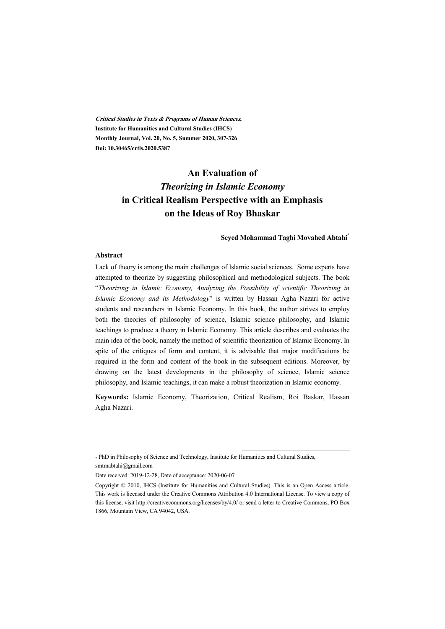**Critical Studies in Texts & Programs of Human Sciences, Institute for Humanities and Cultural Studies (IHCS) Monthly Journal, Vol. 20, No. 5, Summer 2020, 307-326 Doi: 10.30465/crtls.2020.5387** 

# **An Evaluation of**  *Theorizing in Islamic Economy* **in Critical Realism Perspective with an Emphasis on the Ideas of Roy Bhaskar**

#### **Seyed Mohammad Taghi Movahed Abtahi\***

#### **Abstract**

Lack of theory is among the main challenges of Islamic social sciences. Some experts have attempted to theorize by suggesting philosophical and methodological subjects. The book "*Theorizing in Islamic Economy, Analyzing the Possibility of scientific Theorizing in Islamic Economy and its Methodology*" is written by Hassan Agha Nazari for active students and researchers in Islamic Economy. In this book, the author strives to employ both the theories of philosophy of science, Islamic science philosophy, and Islamic teachings to produce a theory in Islamic Economy. This article describes and evaluates the main idea of the book, namely the method of scientific theorization of Islamic Economy. In spite of the critiques of form and content, it is advisable that major modifications be required in the form and content of the book in the subsequent editions. Moreover, by drawing on the latest developments in the philosophy of science, Islamic science philosophy, and Islamic teachings, it can make a robust theorization in Islamic economy.

**Keywords:** Islamic Economy, Theorization, Critical Realism, Roi Baskar, Hassan Agha Nazari.

:

\* PhD in Philosophy of Science and Technology, Institute for Humanities and Cultural Studies, smtmabtahi@gmail.com

Date received: 2019-12-28, Date of acceptance: 2020-06-07

Copyright © 2010, IHCS (Institute for Humanities and Cultural Studies). This is an Open Access article. This work is licensed under the Creative Commons Attribution 4.0 International License. To view a copy of this license, visit http://creativecommons.org/licenses/by/4.0/ or send a letter to Creative Commons, PO Box 1866, Mountain View, CA 94042, USA.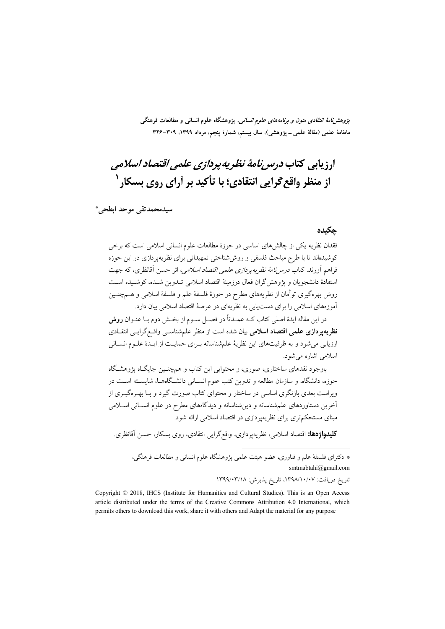*پژوهشنامهٔ انتقادی متون و برنامههای علوم انسانی*، پژوهشگاه علوم انسانی و مطالعات فرهنگی ماهنامهٔ علمی (مقالهٔ علمی ــ پژوهشی)، سال بیستم، شمارهٔ پنجم، مرداد ۱۳۹۹، ۳۰۹–۳۲۶

# ا<sub>دذ</sub>يابي كتاب د<sub>و</sub>سر *نامهٔ نظ*ري*ه پ*رد*ازي علمي اقتصاد اسلامي* از منظر واقع گرایی انتقادی؛ با تأکید بر آرای روی بسکا, `

سيدمحمدتقي موحد ابطحي\*

#### حكىدە

فقدان نظریه یکی از چالشهای اساسی در حوزهٔ مطالعات علوم انسانی اسلامی است که برخی کوشیدهاند تا با طرح مباحث فلسفی و روش شناختی تمهیداتی برای نظریهیردازی در این حوزه فراهم أورند. كتاب *درس نامهٔ نظریه پردازی علمی اقتصاد اسلامی،* اثر حسن أقانظری، كه جهت استفادهٔ دانشجویان و یژوهش گران فعال درزمینهٔ اقتصاد اسلامی تــدوین شــده، کوشــیده اســت روش بهرهگیری توأمان از نظریههای مطرح در حوزهٔ فلسفهٔ علم و فلسفهٔ اسلامی و هــمچنـین آموزههای اسلامی را برای دست یابی به نظریهای در عرصهٔ اقتصاد اسلامی بیان دارد.

در این مقاله ایدهٔ اصلی کتاب کــه عمــدتاً در فصــل ســوم از بخــش دوم بــا عنــوان **روش** نظریهپردازی علمی اقتصاد اسلامی بیان شده است از منظر علمشناسـی واقـع گرایـی انتقـادی ارزیابی می شود و به ظرفیتهای این نظریهٔ علم شناسانه بـرای حمایـت از ایـدهٔ علـوم انسـانی اسلامی اشاره می شود.

باوجود نقدهای ساختاری، صوری، و محتوایی این کتاب و همچنسین جایگاه پژوهشگاه حوزه، دانشگاه، و سازمان مطالعه و تدوین کتب علوم انسـانی دانشـگاههـا، شایسـته اسـت در ویراست بعدی بازنگری اساسی در ساختار و محتوای کتاب صورت گیرد و بـا بهـرهگیـری از أخرین دستاوردهای علم شناسانه و دین شناسانه و دیدگاههای مطرح در علوم انسـانی اسـلامی مبنای مستحکمتری برای نظریهیردازی در اقتصاد اسلامی ارائه شود.

**كليدواژهها:** اقتصاد اسلامي، نظريهپردازي، واقع گرايي انتقادي، روي بسكار، حسن اَقانظري.

\* دکترای فلسفهٔ علم و فناوری، عضو هیئت علمی پژوهشگاه علوم انسانی و مطالعات فرهنگی، smtmabtahi@gmail.com

تاريخ دريافت: ١٣٩٨/١٠/٠٧، تاريخ پذيرش: ١٣٩٩/٠٣/١٨

Copyright © 2018, IHCS (Institute for Humanities and Cultural Studies). This is an Open Access article distributed under the terms of the Creative Commons Attribution 4.0 International, which permits others to download this work, share it with others and Adapt the material for any purpose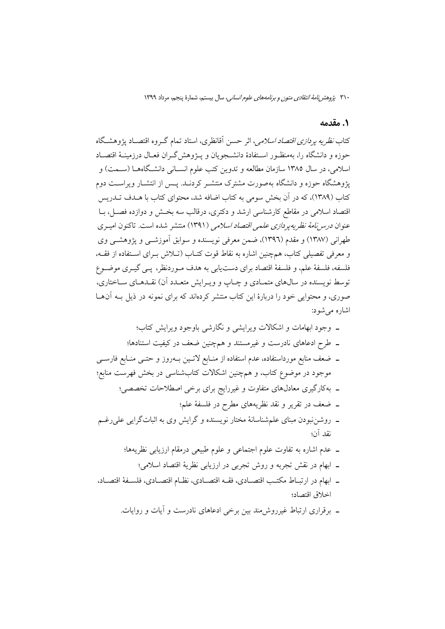#### 1. مقدمه

کتاب *نظریه پردازی اقتصاد اسلامی*، اثر حسن آقانظری، استاد تمام گـروه اقتصـاد پژوهشـگاه حوزه و دانشگاه را، بهمنظـور اسـتفادهٔ دانشـجویان و پــژوهش گــران فعــال درزمینــهٔ اقتصــاد اسلامی، در سال ۱۳۸۵ سازمان مطالعه و تدوین کتب علوم انســانی دانشـگاههــا (ســمت) و پژوهشگاه حوزه و دانشگاه بهصورت مشترک منتشـر کردنــد. پــس از انتشــار ویراســت دوم کتاب (۱۳۸۹)، که در آن بخش سومی به کتاب اضافه شد، محتوای کتاب با هـدف تــدریس اقتصاد اسلامی در مقاطع کارشناسی ارشد و دکتری، درقالب سه بخـش و دوازده فصـل، بــا عنوان *درس نامهٔ نظریه پردازی علمی اقتصاد اسلامی* (۱۳۹۱) منتشر شده است. تاکنون امیـری طهرانی (۱۳۸۷) و مقدم (۱۳۹٦)، ضمن معرفی نویسنده و سوابق آموزشــی و پژوهشــی وی و معرفی تفصیلی کتاب، همچنین اشاره به نقاط قوت کتـاب (تـلاش بـرای اسـتفاده از فقـه، فلسفه، فلسفهٔ علم، و فلسفهٔ اقتصاد برای دستیابی به هدف مـوردنظر، پـی گیـری موضـوع توسط نویسنده در سالهای متمـادی و چـاپ و ویـرایش متعـدد آن) نقـدهـای سـاختاری، صوری، و محتوایی خود را دربارهٔ این کتاب منتشر کردهاند که برای نمونه در ذیل بـه آن هـا اشارہ مے شود:

- ـ وجود ابهامات و اشکالات ویرایشی و نگارشی باوجود ویرایش کتاب؛ ـ طرح ادعاهای نادرست و غیرمستند و همچنین ضعف در کیفیت استنادها؛ ــ ضعف منابع مورداستفاده، عدم استفاده از منــابع لاتــين بــهروز و حتــي منــابع فارســي موجود در موضوع کتاب، و همچنین اشکالات کتابشناسی در بخش فهرست منابع؛ ـ بهکارگیری معادلهای متفاوت و غیررایج برای برخی اصطلاحات تخصصی؛ ۔ ضعف در تقریر و نقد نظریههای مطرح در فلسفهٔ علم؛ ـ روشننبودن مبنای علمشناسانهٔ مختار نویسنده و گرایش وی به اثباتگرایی علی رغـم نقد آن؛ ـ عدم اشاره به تفاوت علوم اجتماعی و علوم طبیعی درمقام ارزیابی نظریهها؛ ـ ابهام در نقش تجربه و روش تجربي در ارزيابي نظريهٔ اقتصاد اسلامي؛
- ـ ابهام در ارتبـاط مكتـب اقتصــادي، فقــه اقتصــادي، نظــام اقتصــادي، فلســفهٔ اقتصــاد، اخلاق اقتصاد؛
	- ۔ برقراری ارتباط غیرروش مند بین برخی ادعاهای نادرست و آبات و روایات.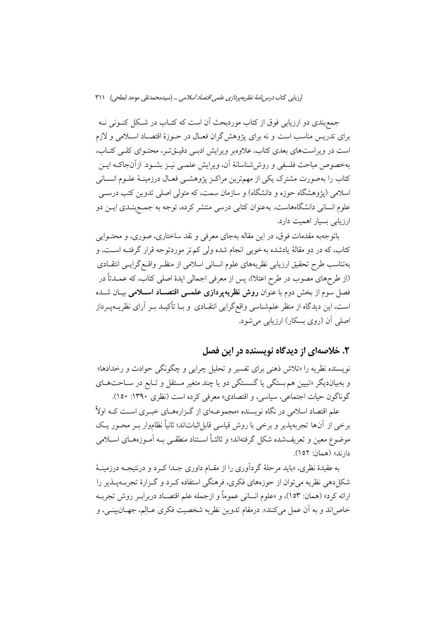جمع بندي دو ارزيابي فوق از كتاب موردبحث أن است كه كتــاب در شــكل كنــوني نــه برای تدریس مناسب است و نه برای پژوهش گران فعـال در حـوزهٔ اقتصـاد اسـلامی و لازم است در ویراستهای بعدی کتاب، علاوهبر ویرایش ادبی دقیقتر، محتـوای کلـی کتـاب، بهخصوص مباحث فلسفى و روش شناسانهٔ أن، ويرايش علمـي نيـز بشـود. ازأنجاكـه ايـن کتاب را بهصورت مشترک یکی از مهمترین مراکـز پژوهشـی فعـال درزمینـهٔ علـوم انســانی اسلامی (پژوهشگاه حوزه و دانشگاه) و سازمان سمت، که متولی اصلی تدوین کتب درســی علوم انسانی دانشگاههاست، بهعنوان کتابی درسی منتشر کرده، توجه به جمـع بنــدی ایــن دو ارزیابی بسیار اهمیت دارد.

باتوجهبه مقدمات فوق، در این مقاله بهجای معرفی و نقد ساختاری، صوری، و محتـوایی کتاب، که در دو مقالهٔ یادشده به خوبی انجام شده ولی کم تر موردتوجه قرار گرفتـه اسـت، و بهتناسب طرح تحقيق ارزيابي نظريههاي علوم انساني اسلامي از منظـر واقـع گرايـبي انتقـادي (از طرحهای مصوب در طرح اعتلا)، پس از معرفی اجمالی ایدهٔ اصلی کتاب، که عمــدتاً در فصل سوم از بخش دوم با عنوان **روش نظریهپردازی علمــی اقتصــاد اســلامی** بیــان شــده است، این دیدگاه از منظر علمشناسی واقع گرایی انتقـادی ًو بــا تأکیــد بــر آرای نظریــهپــرداز اصلی ان (روی بسکار) ارزیابی میشود.

## ۲. خلاصهای از دیدگاه نویسنده در این فصل

نویسنده نظریه را «تلاش ذهنی برای تفسیر و تحلیل چرایی و چگونگی حوادث و رخدادها» و بهبیاندیگر «تبیین هم بستگی یا گسستگی دو یا چند متغیر مستقل و تـابع در سـاحتهـای گوناگون حیات اجتماعی، سیاسی، و اقتصادی» معرفی کرده است (نظری ۱۳۹۰: ۱۵۰).

علم اقتصاد اسلامی در نگاه نویسنده «مجموعـهای از گـزارههـای خبـری اسـت کـه اولاً برخی از آنها تجربهپذیر و برخی با روش قیاسی قابل|ثبات|ند؛ ثانیاً نظاموار بـر محـور یـک موضوع معین و تعریفشده شکل گرفتهاند؛ و ثالثـاً اسـتناد منطقـبی بــه آمــوزههــای اســلامی دارند» (همان: ١٥٢).

به عقیدهٔ نظری، «باید مرحلهٔ گردآوری را از مقــام داوری جــدا کــرد و درنتیجــه درزمینــهٔ شکل دهی نظریه می توان از حوزههای فکری، فرهنگی استفاده کـرد و گـزارهٔ تجربــهپــذیر را ارائه كرد» (همان: ١٥٣)، و «علوم انساني عموماً و ازجمله علم اقتصــاد دربرابـر روش تجربــه خاصاند و به أن عمل مي كنند». درمقام تدوين نظريه شخصيت فكرى عـالِم، جهـانبينــي، و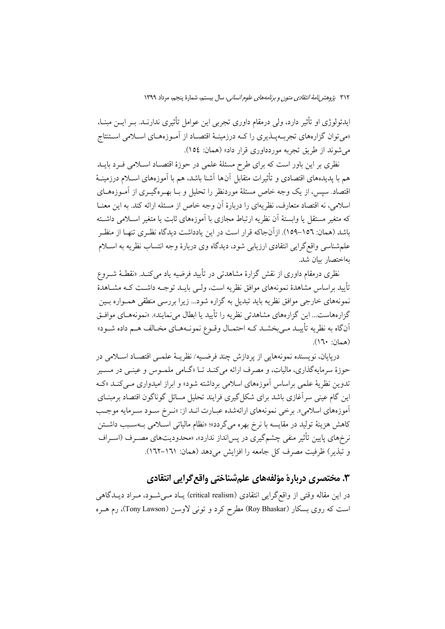ایدئولوژی او تأثیر دارد، ولی درمقام داوری تجربی این عوامل تأثیری ندارنــد. بــر ایـــن مبنــا، «می توان گزارههای تجربــهپــذیری را کــه درزمینــهٔ اقتصــاد از آمــوزههــای اســلامی اســتتاج می شوند از طریق تجربه موردداوری قرار داد» (همان: ١٥٤).

نظری بر این باور است که برای طرح مسئلهٔ علمی در حوزهٔ اقتصـاد اسـلامی فــرد بایــد هم با يديدههاي اقتصادي و تأثيرات متقابل آنها آشنا باشد، هم با آموزههاي اسـلام درزمينــهٔ اقتصاد. سپس، از یک وجه خاص مسئلهٔ موردنظر را تحلیل و بــا بهــرهگیــری از آمــوزههــای اسلامی، نه اقتصاد متعارف، نظریهای را دربارهٔ آن وجه خاص از مسئله ارائه کند. به این معنــا که متغیر مستقل یا وابستهٔ آن نظریه ارتباط مجازی با آموزههای ثابت یا متغیر اسـلامی داشـته باشد (همان: ١٥٦–١٥٩). ازآنجاكه قرار است در اين يادداشت ديدگاه نظـري تنهــا از منظـر علم شناسی واقع گرایی انتقادی ارزیابی شود، دیدگاه وی دربارهٔ وجه انتساب نظریه به اسـلام بهاختصار بيان شد.

نظری درمقام داوری از نقش گزارهٔ مشاهدتی در تأیید فرضیه یاد می کنــد. «نقطــهٔ شــروع تأييد براساس مشاهدهٔ نمونههاى موافق نظريه است، ولــي بايــد توجــه داشــت كــه مشــاهدهٔ نمونههای خارجی موافق نظریه باید تبدیل به گزاره شود... زیرا بررسی منطقی همــواره بــین گزارههاست… این گزارههای مشاهدتی نظریه را تأیید یا ابطال می نمایند». «نمونههـای موافـق اّنِ گاه به نظریه تأییـد مـی بخشـد کـه احتمـال وقـوع نمونـههـای مخـالف هـم داده شـود» (همان: ١٦٠).

دريايان، نويسنده نمونههايي از يردازش چند فرضـيه/ نظريــهٔ علمــي اقتصــاد اســلامي در حوزهٔ سرمایهگذاری، مالیات، و مصرف ارائه میکند تـا «گـامی ملمـوس و عینــی در مســیر تدوین نظریهٔ علمی براساس آموزههای اسلامی برداشته شود» و ابراز امیدواری مــی کنــد «کــه این گام عینی سرآغازی باشد برای شکل گیری فرایند تحلیل مسائل گوناگون اقتصاد برمبنــای آموزههاي اسلامي». برخي نمونههاي ارائهشده عبـارت انـد از: «نـرخ سـود سـرمايه موجـب كاهش هزينهٔ توليد در مقايسه با نرخ بهره مي گردد»؛ «نظام مالياتي اسـلامي بــهسـبب داشـتن نر خرهای پایین تأثیر منفی چشمگیری در پس انداز ندارد»، «محدودیتهای مصـرف (اسـراف و تبذير) ظرفيت مصرف كل جامعه را افزايش مى دهد (همان: ١٦١–١٦٢).

## ۳. مختصری دربارهٔ مؤلفههای علمشناختی واقع گرایی انتقادی

در این مقاله وقتی از واقع گرایی انتقادی (critical realism) یـاد مـی شـود، مـراد دیـدگاهی است که روی بسکار (Roy Bhaskar) مطرح کرد و تونی لاوسن (Tony Lawson)، رم هــره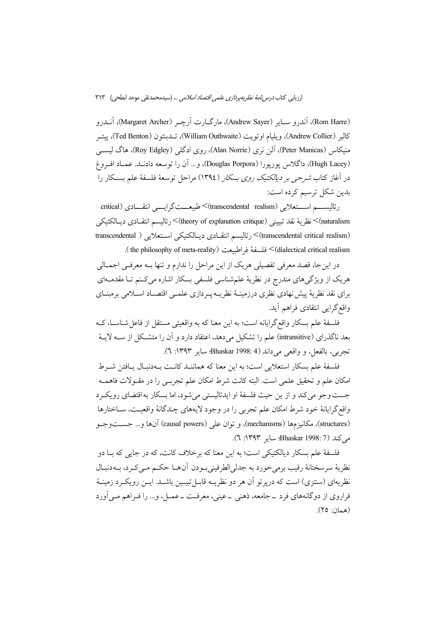ارزیابی کتاب *درس نامهٔ نظریه پردازی علمی اقتصاد اسلامی* … (سیدمحمدتقی موحد ابطحی) ۳۱۳

(Rom Harre)، آندرو ســاير (Andrew Sayer)، مارگــارت آرچـر (Margaret Archer)، آنــدرو كالير (Andrew Collier)، ويليام اوتويت (William Outhwaite)، تــدبنتون (Ted Benton)، ييتــر منیکاس (Peter Manicas)، آلن نری (Alan Norrie)، روی ادگلی (Roy Edgley)، هاگ لیســی (Hugh Lacey)، داگلاس يوريورا (Douglas Porpora)، و… آن را توسعه دادنـد. عمــاد افـروغ در آغاز کتاب *شرحی بر دیالکتیک روی بسکار (*۱۳۹٤) مراحل توسعهٔ فلسفهٔ علم بسـکار را بدین شکل ترسیم کرده است:

رئاليســـم اســـتعلايي (transcendental realism)>طبيعـــتگرايـــي انتقـــادي (critical naturalism)>نظرية نقد تبييني (theory of explanation critique)> رئاليسم انتقــادي ديــالكتيكي (transcendental critical realism)> رئاليسم انتقـادى ديـالكتيكي اسـتعلايي ( transcendental critical realism (dialectical critical realism) > فلسفة في اطبيعت (the philosophy of meta-reality).

در اینجا، قصد معرفی تفصیلی هریک از این مراحل را ندارم و تنها بــه معرفــی اجمــالی هریک از ویژگیهای مندرج در نظریهٔ علمشناسی فلسفی بسکار اشاره میکنم تـا مقدمـهای براي نقد نظريهٔ پيش نهادي نظري درزمينـهٔ نظريـه پـردازي علمـي اقتصـاد اسـلامي برمبنـاي واقع گرایی انتقادی فراهم آید.

فلسفهٔ علم بسکار واقع گرایانه است؛ به این معنا که به واقعیتی مستقل از فاعل شناســا، کــه بعد ناگذرای (intransitive) علم را تشکیل میدهد، اعتقاد دارد و آن را متشکل از ســه لایــهٔ تجربي، بالفعل، و واقعي مي داند (4 :Bhaskar 1998؛ ساير ١٣٩٣: ٦).

فلسفهٔ علم بسکار استعلانی است؛ به این معنا که هماننـد کانـت بـهدنبـال بـافتن شـرط امكان علم و تحقيق علمي است. البته كانت شرط امكان علم تجربـي را در مقـولات فاهمــه جست وجو می کند و از بن حیث فلسفهٔ او ایدئالیستی می شود، اما بسکار به اقتضای رویکرد واقع گرایانهٔ خود شرط امکان علم تجربی را در وجود لایههای چندگانهٔ واقعیــت، ســاختارها (structures)، مكانيزمها (mechanisms)، و توان على (causal powers) آنها و… جســتوجــو می کند (7 :Bhaskar 1998) سایر ۱۳۹۳: ۲).

فلسفهٔ علم بسکار دیالکتیکی است؛ به این معنا که برخلاف کانت، که در جایی که بــا دو نظريهٔ سرسختانهٔ رقيب برميخورد به جدليالطرفيني بودن أن هـا حكـم مـي كـرد، بـهدنبـال نظریهای (سنتزی) است که دریر تو اَن هر دو نظریــه قابــل تبیــین باشــد. ایــن رویکــرد زمینــهٔ فراروی از دوگانههای فرد ــ جامعه، ذهنی ــ عینی، معرفـت ــ عمــل، و… را فــراهم مــی|ورد (همان: ٢٥).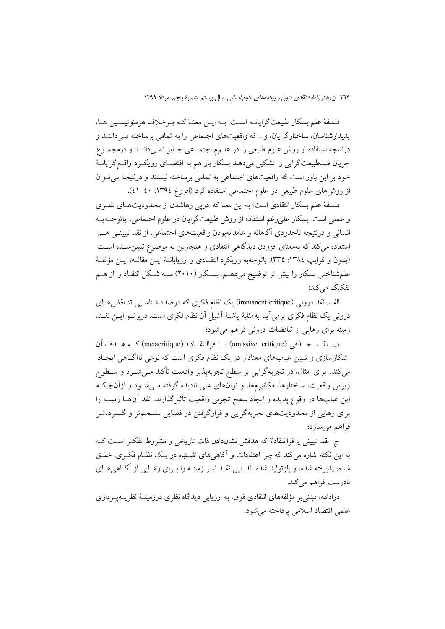فلسفهٔ علم بسکار طبیعتگرایانــه اســت؛ بــه ایــن معنــا کــه بــرخلاف هرمنوتیســین هــا، يديدارشناسان، ساختارگرايان، و... كه واقعيتهاي اجتماعي را به تمامي برساخته مـي داننــد و درنتیجه استفاده از روش علوم طبیعی را در علـوم اجتمـاعی جـایز نمـیداننـد و درمجمـوع جريان ضدطبيعتگرايي را تشكيل مي دهند بسكار باز هم به اقتضـاي رويكـرد واقـعگرايانــهٔ خود بر این باور است که واقعیتهای اجتماعی به تمامی برساخته نیستند و درنتیجه می توان از روشهای علوم طبیعی در علوم اجتماعی استفاده کرد (افروغ ١٣٩٤: ٤٠-٤١).

فلسفهٔ علم بسکار انتقادی است؛ به این معنا که درپی رهاشدن از محدودیتهـای نظـری و عملي است. بسكار على رغم استفاده از روش طبيعت گرايان در علوم اجتماعي، باتوجــه بــه انسانی و درنتیجه تاحدودی آگاهانه و عامدانهبودن واقعیتهای اجتماعی، از نقد تبیینـی هــم استفاده می کند که بهمعنای افزودن دیدگاهی انتقادی و هنجارین به موضوع تبیین شـده اسـت (بنتون و كرايب ١٣٨٤: ٣٣٥). باتوجهبه رويكرد انتقـادي و ارزيابانــهٔ ايــن مقالــه، ايــن مؤلفــهٔ علم شناختی بسکار را بیش تر توضیح می دهـم. بسـکار (۲۰۱۰) سـه شـکل انتقـاد را از هـم تفکیک می کند:

الف. نقد درونی (immanent critique) یک نظام فکری که درصدد شناسایی تنـاقض۵هـای درونی یک نظام فکری برمی آید به مثابهٔ پاشنهٔ آشیل آن نظام فکری است. درپرتـو ایــن نقــد، زمینه برای رهایی از تناقضات درونی فراهم میشود؛

ب. نقــد حــذفي (omissive critique) يــا فراانتقــاد١ (metacritique) كــه هــدف آن أشکارسازی و تبیین غیابهای معنادار در یک نظام فکری است که نوعی ناآگـاهی ایجـاد میکند. برای مثال، در تجربهگرایی بر سطح تجربهپذیر واقعیت تأکید مـیشـود و ســطوح زیرین واقعیت، ساختارها، مکانیزمها، و توانهای علی نادیده گرفته مـیشـود و ازآنجاکـه این غیابها در وقوع پدیده و ایجاد سطح تجربی واقعیت تأثیرگذارند، نقد آنهــا زمینــه را برای رهایی از محدودیتهای تجربهگرایی و قرارگرفتن در فضایی منسجمتر و گستردهت فراهم می سازد؛

ج. نقد تبیینی یا فراانتقاد۲ که هدفش نشاندادن ذات تاریخی و مشروط تفکر است کـه به این نکته اشاره می کند که چرا اعتقادات و آگاهی های اشـتباه در یـک نظـام فکـری، خلـق شده، پذیرفته شده، و بازتولید شده اند. این نقـد نیـز زمینـه را بـرای رهـایی از آگـاهیِهـای نادرست فراهم مي كند.

درادامه، مبتنی بر مؤلفههای انتقادی فوق، به ارزیابی دیدگاه نظری درزمینـهٔ نظریــهیــردازی علمي اقتصاد اسلامي پرداخته مي شود.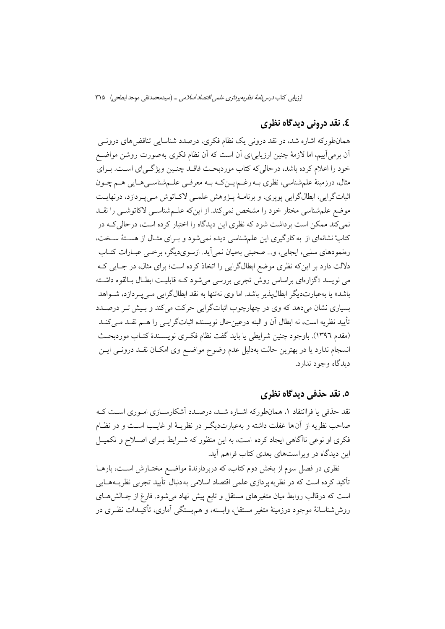#### ٤. نقد دروني ديدگاه نظري

همانطورکه اشاره شد، در نقد درونی یک نظام فکری، درصدد شناسایی تناقض های درونے آن برمی]ییم، اما لازمهٔ چنین ارزیابیای اَن است که اَن نظام فکری بهصورت روشن مواضـع خود را اعلام کرده باشد، درحالیکه کتاب موردبحث فاقـد چنـین ویژگـی|ی اسـت. بـرای مثال، درزمینهٔ علمشناسی، نظری بـه رغـمایــنِکـه بـه معرفــی علــمشناســیهــایی هــم چــون اثباتگرايي، ابطالگرايي پويري، و برنامـهٔ پــژوهش علمــي لاکــاتوش مــي بـردازد، درنهايــت موضع علم شناسی مختار خود را مشخص نمی کند. از این که علـمشناسـی لاکاتوشـی را نقــد نمی کند ممکن است برداشت شود که نظری این دیدگاه را اختیار کرده است، درحالی کـه در کتابْ نشانهای از به کارگیری این علمشناسی دیده نمیشود و بـرای مثـال از هسـتهٔ سـخت، رهنمودهای سلبی، ایجابی، و… صحبتی بهمیان نمی اَید. ازسویدیگر، برخبی عبـارات کتــاب دلالت دارد بر این که نظری موضع ابطالگرایی را اتخاذ کرده است؛ برای مثال، در جبایی کبه می نویسد «گزارهای براساس روش تجربی بررسی میشود کـه قابلیـت ابطـال بـالقوه داشـته باشد» یا بهعبارتدیگر ابطالپذیر باشد. اما وی نهتنها به نقد ابطالگرایی مـیپـردازد، شــواهد بسیاری نشان میدهد که وی در چهارچوب اثباتگرایی حرکت میکند و بـیش تـر درصـدد تأييد نظريه است، نه ابطال آن و البته درعينحال نويسنده اثباتگرايــي را هــم نقــد مــيكنــد (مقدم ١٣٩٦). باوجود چنين شرايطي يا بايد گفت نظام فكرى نويسـندهٔ كتـاب موردبحـث انسجام ندارد یا در بهترین حالت بهدلیل عدم وضوح مواضع وی امکـان نقـد درونـی ایــن دېدگاه وجود ندارد.

#### ٥. نقد حذفي ديدگاه نظري

نقد حذفی یا فراانتقاد ۱، همانطورکه اشـاره شـد، درصـدد آشکارسـازی امـوری اسـت کـه صاحب نظريه از آنها غفلت داشته و بهعبارتديگـر در نظريــهٔ او غايــب اســت و در نظــام فکری او نوعی ناآگاهی ایجاد کرده است، به این منظور که شـرایط بـرای اصـلاح و تکمیـل این دیدگاه در ویراستهای بعدی کتاب فراهم آید.

نظری در فصل سوم از بخش دوم کتاب، که دربردارندهٔ مواضـع مختــارش اســت، بارهــا تأکید کرده است که در نظریه پردازی علمی اقتصاد اسلامی به دنبال تأیید تجربی نظریــههــایی است که درقالب روابط میان متغیرهای مستقل و تابع پیش نهاد میشود. فارغ از چـالشهـای روششناسانهٔ موجود درزمینهٔ متغیر مستقل، وابسته، و هم بستگی اَماری، تأکیـدات نظـری در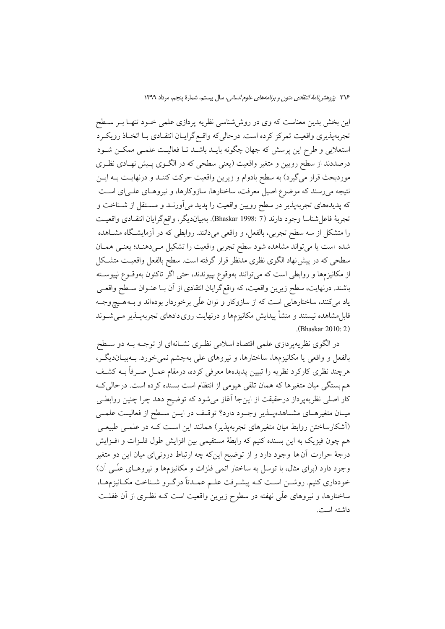این بخش بدین معناست که وی در روششناسی نظریه پردازی علمی خـود تنهـا بـر سـطح تجربهپذیری واقعیت تمرکز کرده است. درحالی که واقع گرایـان انتقـادی بـا اتخـاذ رویکـرد استعلایی و طرح این پرسش که جهان چگونه بایـد باشـد تـا فعالیـت علمـی ممکــن شـود درصددند از سطح رویین و متغیر واقعیت (یعنی سطحی که در الگـوی پـیش نهـادی نظـری موردبحث قرار میگیرد) به سطح بادوام و زیرین واقعیت حرکت کننـد و درنهایـت بــه ایــن نتیجه میرسند که موضوع اصیل معرفت، ساختارها، سازوکارها، و نیروهـای علـی|ی اسـت که پدیدههای تجربهپذیر در سطح رویین واقعیت را پدید میآورنـد و مسـتقل از شــناخت و تجربة فاعل شناسا وجود دارند (7 :Bhaskar 1998). بهبيانديگر، واقع گرايان انتقـادي واقعيـت را متشکل از سه سطح تجربی، بالفعل، و واقعی میدانند. روابطی که در آزمایشگاه مشــاهده شده است یا میتواند مشاهده شود سطح تجربی واقعیت را تشکیل مـیدهنـد؛ یعنـی همـان سطحی که در پیش نهاد الگوی نظری مدنظر قرار گرفته است. سطح بالفعل واقعیـت متشـکل از مکانیزمها و روابطی است که میتوانند بهوقوع بپیوندند، حتی اگر تاکنون بهوقـوع نپیوسـته باشند. درنهایت، سطح زیرین واقعیت، که واقع گرایان انتقادی از آن بـا عنــوان ســطح واقعــی یاد می کنند، ساختارهایی است که از سازوکار و توان علّی برخوردار بودهاند و بـههـیچوجـه قابل مشاهده نیستند و منشأ پیدایش مکانیزمها و درنهایت روی دادهای تجربهپــذیر مــیشــوند  $(Bhaskar 2010:2)$ 

در الگوی نظریهپردازی علمی اقتصاد اسلامی نظـری نشــانهای از توجــه بــه دو ســطح بالفعل و واقعی یا مکانیزمها، ساختارها، و نیروهای علی بهچشم نمی خورد. بـهبیـاندیگـر، هرچند نظری کارکرد نظریه را تبیین پدیدهها معرفی کرده، درمقام عمـل صــرفأ بــه کشــف هم بستگی میان متغیرها که همان تلقی هیومی از انتظام است بسنده کرده است. درحالی ک کار اصلی نظریهپرداز درحقیقت از اینجا آغاز میشود که توضیح دهد چرا چنین روابطـی میـان متغیرهـای مشـاهدهپـذیر وجـود دارد؟ توقـف در ایــن سـطح از فعالیــت علمــی (اَشکارساختن روابط میان متغیرهای تجربهپذیر) همانند این اسـت کـه در علمـی طبیعـی هم چون فیزیک به این بسنده کنیم که رابطهٔ مستقیمی بین افزایش طول فلـزات و افـزایش درجهٔ حرارت آن ها وجود دارد و از توضیح اینکه چه ارتباط درونیای میان این دو متغیر وجود دارد (برای مثال، با توسل به ساختار اتمی فلزات و مکانیزمها و نیروهـای علّـی آن) خودداري كنيم. روشــن اسـت كــه پيشــرفت علــم عمــدتاً درگــرو شــناخت مكــانيزمهــا، ساختارها، و نیروهای علّی نهفته در سطوح زیرین واقعیت است کـه نظـری از آن غفلـت داشته است.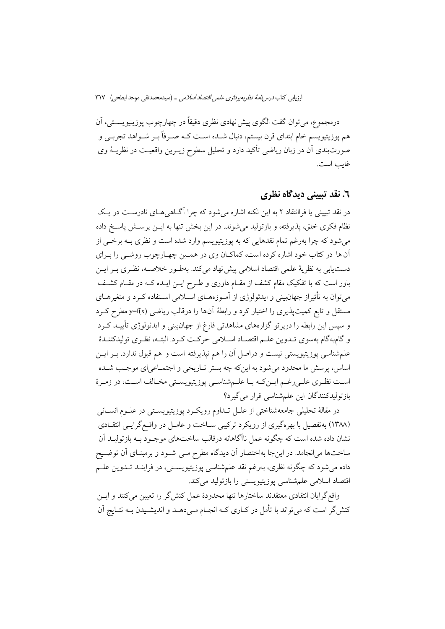درمجموع، مي توان گفت الگوي پيش نهادي نظري دقيقاً در چهارچوب پوزيتيويســتي، اَن هم يوزيتيويسم خام ابتداي قرن بيستم، دنبال شــده اسـت كــه صــرفاً بــر شــواهد تجربــي و صورتبندی آن در زبان ریاضی تأکید دارد و تحلیل سطوح زیـرین واقعیـت در نظریــهٔ وی غايب است.

#### ٦. نقد تسني ديدگاه نظري

در نقد تبیینی یا فراانتقاد ۲ به این نکته اشاره می شود که چرا آگـاهی هـای نادرسـت در یـک نظام فکری خلق، پذیرفته، و بازتولید می شوند. در این بخش تنها به ایــن پرســش پاســخ داده میشود که چرا بهرغم تمام نقدهایی که به پوزیتیویسم وارد شده است و نظری بــه برخــی از آن ها در کتاب خود اشاره کرده است، کماکـان وي در همـين چهـارچوب روشـي را بـراي دست یابی به نظریهٔ علمی اقتصاد اسلامی پیش نهاد میکند. بهطـور خلاصــه، نظـری بـر ایــن باور است که با تفکیک مقام کشف از مقـام داوری و طـرح ایــن ایــده کــه در مقــام کشــف می توان به تأثیراز جهانبینی و ایدئولوژی از آمـوزههـای اسـلامی اسـتفاده کـرد و متغیرهـای مستقل و تابع کمیتپذیری را اختیار کرد و رابطهٔ آنها را درقالب ریاضی (y=f(x مطرح کـرد و سپس این رابطه را درپرتو گزارههای مشاهدتی فارغ از جهانبینی و ایدئولوژی تأییـد کـرد و گامبهگام بهسوی تـدوین علـم اقتصـاد اسـلامی حرکـت کـرد. البتـه، نظـری تولیدکننـدهٔ علم شناسی پوزیتیویستی نیست و دراصل آن را هم نپذیرفته است و هم قبول ندارد. بــر ایــن اساس، پرسش ما محدود می شود به این که چه بستر تـاریخی و اجتمـاعی ای موجـب شــده است نظري علي رغم ايـن كـه بـا علـمشناسـي پوزيتيويسـتي مخـالف اسـت، در زمـرهٔ بازتولیدکنندگان این علمشناسی قرار می گیرد؟

در مقالهٔ تحلیلی جامعهشناختی از علــل تــداوم رویکــرد پوزیتیویســتی در علــوم انســانی (۱۳۸۸) به تفصیل با بهره گیری از رویکرد ترکیبی ســاخت و عامــل در واقــع گرایــی انتقــادی نشان داده شده است که چگونه عمل ناآگاهانه درقالب ساختهای موجـود بــه بازتولیــد آن ساختها میانجامد. در اینجا بهاختصار آن دیدگاه مطرح مـی شـود و برمبنـای آن توضـیح داده می شود که چگونه نظری، بهرغم نقد علمشناسی پوزیتیویسـتی، در فراینـد تـدوین علـم اقتصاد اسلامی علم شناسی پوزیتیویستی را بازتولید میکند.

واقع گرایان انتقادی معتقدند ساختارها تنها محدودهٔ عمل کنش گر را تعیین میکنند و ایــن کنش گر است که می تواند با تأمل در کــاری کــه انجــام مــی دهــد و اندیشــیدن بــه نتــایج آن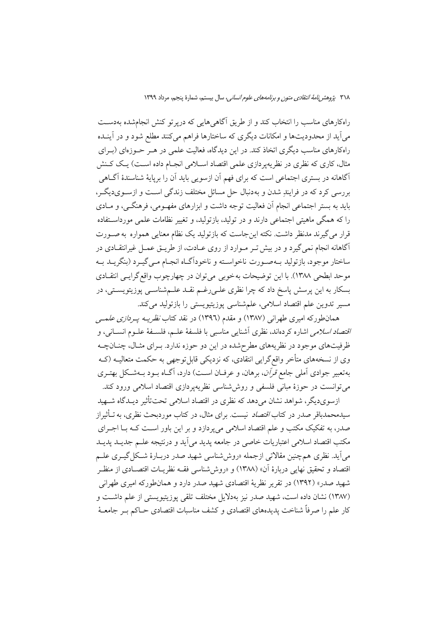راهکارهای مناسب را انتخاب کند و از طریق آگاهی هایی که دریر تو کنش انجامشده بهدسـت می آید از محدودیتها و امکانات دیگری که ساختارها فراهم می کنند مطلع شود و در آینـده راهکارهای مناسب دیگری اتخاذ کند. در این دیدگاه، فعالیت علمی در هـر حـوزهای (بـرای مثال، کاری که نظری در نظریهپردازی علمی اقتصاد اسـلامی انجـام داده اسـت) یـک کـنش آگاهانه در بستری اجتماعی است که برای فهم آن ازسویی باید آن را برپایهٔ شناسندهٔ آگـاهی بررسی کرد که در فرایند شدن و به دنبال حل مسائل مختلف زندگی است و ازسـویدیگـر، باید به بستر اجتماعی انجام آن فعالیت توجه داشت و ابزارهای مفهـومی، فرهنگــی، و مــادی را که همگی ماهیتی اجتماعی دارند و در تولید، بازتولید، و تغییر نظامات علمی مورداســتفاده قرار می گیرند مدنظر داشت. نکته اینجاست که بازتولید یک نظام معنایی همواره به صـورت آگاهانه انجام نمی گیرد و در بیش تـر مـوارد از روی عـادت، از طریـق عمـل غیرانتقـادی در ساختار موجود، بازتولید بـهصـورت ناخواسـته و ناخوداًگـاه انجـام مـي&يـرد (بنگريــد بـه موحد ابطحي ١٣٨٨). با اين توضيحات به خوبي مي توان در چهارچوب واقع گرايـي انتقـادي بسکار به این پرسش پاسخ داد که چرا نظری علـی(غـم نقـد علـمشناسـی پوزیتویسـتی، در مسیر تدوین علم اقتصاد اسلامی، علمشناسی پوزیتیویستی را بازتولید میکند.

همانطورکه امیری طهرانی (۱۳۸۷) و مقدم (۱۳۹٦) در نقد کتاب *نظریــه پــردازی علـمــی اقتصاد اسلامی* اشاره کردهاند، نظری آشنایی مناسبی با فلسفهٔ علـم، فلسـفهٔ علـوم انســانی، و ظرفیتهای موجود در نظریههای مطرحشده در این دو حوزه ندارد. بـرای مثـال، چنـانچـه وی از نسخههای متأخر واقع گرایی انتقادی، که نزدیکی قابل توجهی به حکمت متعالیـه (کـه بهتعبیر جوادی آملی جامع قرآن، برهان، و عرفان است) دارد، آگ) بود بهشکل بهتری مي توانست در حوزهٔ مباني فلسفي و روش شناسي نظريه يردازي اقتصاد اسلامي ورود كند.

ازسویدیگر، شواهد نشان می دهد که نظری در اقتصاد اسلامی تحت تأثیر دیـدگاه شــهید سیدمحمدباقر صدر در کتاب *اقتصاد* نیست. برای مثال، در کتاب موردبحث نظری، به تــأثیراز صدر، به تفکیک مکتب و علم اقتصاد اسلامی می پردازد و بر این باور است کـه بـا اجـرای مکتب اقتصاد اسلامی اعتباریات خاصی در جامعه یدید می آید و درنتیجه علـم جدیــد یدیــد می اَید. نظری همچنین مقالاتی ازجمله «روششناسی شهید صدر دربـارهٔ شـکل گیــری علــم اقتصاد و تحقيق نهايي دربارهٔ أن» (١٣٨٨) و «روش شناسي فقــه نظريــات اقتصــادي از منظــر شهيد صدر» (١٣٩٢) در تقرير نظريهٔ اقتصادي شهيد صدر دارد و همانطوركه اميري طهراني (١٣٨٧) نشان داده است، شهيد صدر نيز بهدلايل مختلف تلقى يوزيتيويستى از علم داشت و کار علم را صرفاً شناخت پدیدههای اقتصادی و کشف مناسبات اقتصادی حــاکم بــر جامعــهٔ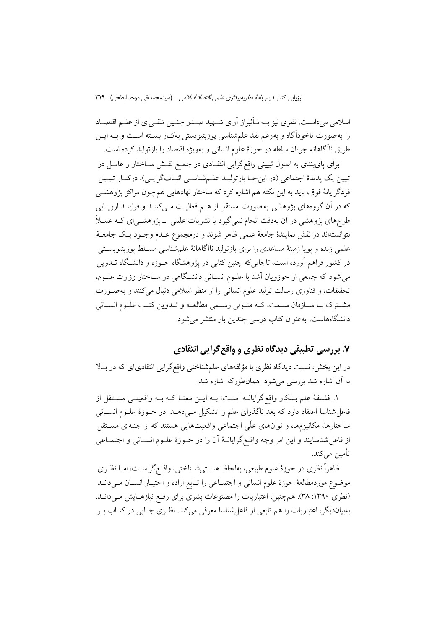اسلامی میدانست. نظری نیز بــه تــأثیراز آرای شــهید صــدر چنــین تلقــی|ی از علــم اقتصــاد را بهصورت ناخودآگاه و بهرغم نقد علمشناسی پوزیتیویستی بهکـار بســته اســت و بــه ایــن طريق ناآگاهانه جريان سلطه در حوزهٔ علوم انسانی و بهويژه اقتصاد را بازتوليد كرده است.

برای پایبندی به اصول تبیینی واقع گرایی انتقـادی در جمـع نقـش ســاختار و عامــل در تبیین یک پدیدهٔ اجتماعی (در اینجـا بازتولیـد علـمشناسـی اثبـاتگرایـی)، درکنـار تبیـین فردگرایانهٔ فوق، باید به این نکته هم اشاره کرد که ساختار نهادهایی هم چون مراکز پژوهشــی که در آن گروههای پژوهشی به صورت مستقل از هـم فعالیـت مـیکننـد و فراینـد ارزیــابی طرحهای پژوهشی در آن بهدقت انجام نمیگیرد یا نشریات علمی \_پژوهشـی|ی کـه عمــلاً نتوانستهاند در نقش نمایندهٔ جامعهٔ علمی ظاهر شوند و درمجموع عــدم وجــود یــک جامعــهٔ علمی زنده و یویا زمینهٔ مساعدی را برای بازتولید ناآگاهانهٔ علمشناسی مسـلط یوزیتیویســتی در کشور فراهم آورده است، تاجاییکه چنین کتابی در پژوهشگاه حــوزه و دانشـگاه تــدوین می شود که جمعی از حوزویان آشنا با علـوم انســانی دانشـگاهی در ســاختار وزارت علــوم، تحقیقات، و فناوری رسالت تولید علوم انسانی را از منظر اسلامی دنبال می کنند و بهصورت مشترک بـا سـازمان سـمت، کـه متـولي رسـمي مطالعـه و تـدوين کتـب علـوم انسـاني دانشگاههاست، بهعنوان کتاب درسی چندین بار منتشر می شود.

## ۷. بررسی تطبیقی دیدگاه نظری و واقع گرایی انتقادی

در این بخش، نسبت دیدگاه نظری با مؤلفههای علمشناختی واقع گرایی انتقادیای که در بالا به آن اشاره شد بررسی می شود. همانطورکه اشاره شد:

١. فلسفهٔ علم بسکار واقع گرایانــه اسـت؛ بــه ایــن معنــا کــه بــه واقعیتــی مســتقل از فاعل شناسا اعتقاد دارد که بعد ناگذرای علم را تشکیل مے دهــد. در حــوزهٔ علــوم انســانی ساختارها، مکانیزمها، و توانهای علّی اجتماعی واقعیتهایی هستند که از جنبهای مسـتقل از فاعل شناسايند و اين امر وجه واقـع گرايانــهٔ آن را در حــوزهٔ علــوم انســاني و اجتمــاعي تأمين مي كند.

ظاهراً نظری در حوزهٔ علوم طبیعی، بهلحاظ هسـتیشـناختی، واقـع گراسـت، امـا نظـری موضوع موردمطالعهٔ حوزهٔ علوم انسانی و اجتمـاعی را تـابع اراده و اختیـار انسـان مـیدانــد (نظری ۱۳۹۰: ۳۸). همچنین، اعتباریات را مصنوعات بشری برای رفع نیازهـایش مـیدانـد. بهبیاندیگر، اعتباریات را هم تابعی از فاعلشناسا معرفی میکند. نظـری جـایی در کتــاب بــر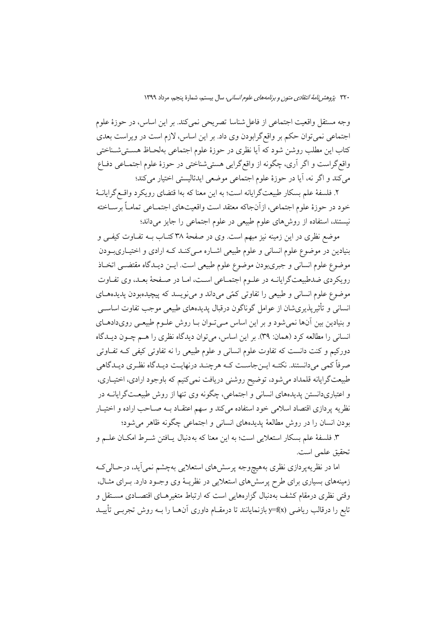وجه مستقل واقعیت اجتماعی از فاعل شناسا تصریحی نمی کند. بر این اساس، در حوزهٔ علوم اجتماعی نمی توان حکم بر واقع گرابودن وی داد. بر این اساس، لازم است در ویراست بعدی کتاب این مطلب روشن شود که آیا نظری در حوزهٔ علوم اجتماعی بهلحـاظ هســتیشــناختی واقع گراست و اگر آری، چگونه از واقع گرایی هستیشناختی در حوزهٔ علوم اجتمـاعی دفـاع میکند و اگر نه، آیا در حوزهٔ علوم اجتماعی موضعی ایدئالیستی اختیار میکند؛

٢. فلسفهٔ علم بسکار طبیعتگرایانه است؛ به این معنا که بها قتضای رویکرد واقـع گرایانـهٔ خود در حوزهٔ علوم اجتماعی، ازآنجاکه معتقد است واقعیتهای اجتمـاعی تمامـاً برسـاخته نیستند، استفاده از روشهای علوم طبیعی در علوم اجتماعی را جایز میداند؛

موضع نظری در این زمینه نیز مبهم است. وی در صفحهٔ ۳۸ کتــاب بــه تفــاوت کیفــی و بنیادین در موضوع علوم انسانی و علوم طبیعی اشـاره مـیکنـد کـه ارادی و اختیـاریبـودن موضوع علوم انسانی و جبریبودن موضوع علوم طبیعی است. ایــن دیــدگاه مقتضــی اتخــاذ رویکردی ضدطبیعتگرایانــه در علــوم اجتمــاعی اســت، امــا در صــفحهٔ بعــد، وی تفــاوت موضوع علوم انسانی و طبیعی را تفاوتی کمّی میداند و مینویسد که پیچیدهبودن پدیدههای انسانی و تأثیریذیریشان از عوامل گوناگون درقبال پدیدههای طبیعی موجب تفاوت اساسبی و بنیادین بین آنها نمی شود و بر این اساس مے توان بـا روش علـوم طبیعـی رویدادهـای انسانی را مطالعه کرد (همان: ۳۹). بر این اساس، می توان دیدگاه نظری را هـم چـون دیــدگاه دورکیم و کنت دانست که تفاوت علوم انسانی و علوم طبیعی را نه تفاوتی کیفی کـه تفـاوتی صرفاً کمی میدانستند. نکتـه ایــنجاسـت کــه هرچنــد درنهایــت دیــدگاه نظـری دیــدگاهی طبیعتگرایانه قلمداد میشود، توضیح روشنی دریافت نمیکنیم که باوجود ارادی، اختیـاری، و اعتباریدانستن پدیدههای انسانی و اجتماعی، چگونه وی تنها از روش طبیعـتگرایانــه در .<br>نظریه پردازی اقتصاد اسلامی خود استفاده میکند و سهم اعتقـاد بــه صــاحب اراده و اختیــار بودن انسان را در روش مطالعهٔ پدیدههای انسانی و اجتماعی چگونه ظاهر می شود؛

٣. فلسفهٔ علم بسکار استعلایی است؛ به این معنا که به دنبال پـافتن شـرط امکـان علــم و تحقيق علمي است.

اما در نظریهپردازی نظری بههیچوجه پرسشهای استعلایی بهچشم نمیآید، درحـالیکـه زمینههای بسیاری برای طرح پرسشهای استعلایی در نظریـهٔ وی وجـود دارد. بـرای مثـال، وقتی نظری درمقام کشف بهدنبال گزارههایی است که ارتباط متغیرهـای اقتصـادی مســتقل و تابع را درقالب ریاضی (y=f(x بازنمایانند تا درمقــام داوری آن۱مــا را بــه روش تجربــی تأییــد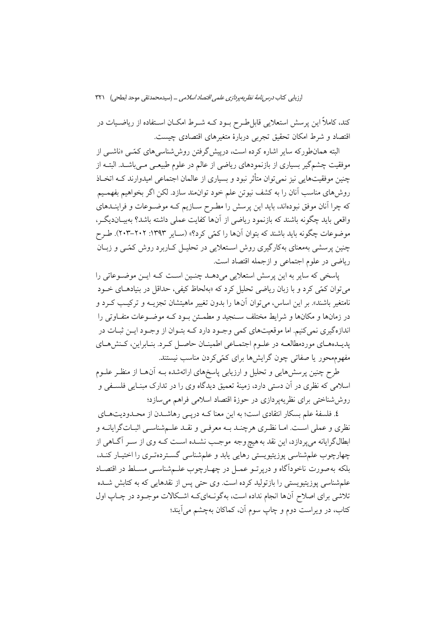کند، کاملاً این پرسش استعلایی قابل طـرح بـود کــه شـرط امکــان اســتفاده از ریاضــیات در اقتصاد و شرط امکان تحقیق تجربی دربارهٔ متغیرهای اقتصادی چیست.

البته همانطورکه سایر اشاره کرده است، درپیش گرفتن روش شناسه های کمّــی «ناشــی از موفقیت چشمگیر بسیاری از بازنمودهای ریاضی از عالم در علوم طبیعـی مـیباشــد. البتــه از چنین موفقیتهایی نیز نمی توان متأثر نبود و بسیاری از عالمان اجتماعی امیدوارند کــه اتخــاذ روشهای مناسب آنان را به کشف نیوتن علم خود توانمند سازد. لکن اگر بخواهیم بفهمـیم که چرا آنان موفق نبودهاند، باید این پرسش را مطـرح سـازیم کـه موضـوعات و فراینــدهای واقعی باید چگونه باشند که بازنمود ریاضی از آنها کفایت عملی داشته باشد؟ بهبیـاندیگـر، موضوعات چگونه باید باشند که بتوان آنها را کمّی کرد؟» (سـایر ۱۳۹۳: ۲۰۲–۲۰۳). طـرح چنین پرسشی بهمعنای بهکارگیری روش استعلایی در تحلیـل کـاربرد روش کمّـی و زبـان رياضي در علوم اجتماعي و ازجمله اقتصاد است.

یاسخی که سایر به این پرسش استعلایی میدهـد چنـین اسـت کـه ایـن موضـوعاتی را می توان کمّی کرد و با زبان ریاضی تحلیل کرد که «بهلحاظ کیفی، حداقل در بنیادهـای خــود نامتغیر باشند». بر این اساس، می توان آنها را بدون تغییر ماهیتشان تجزیــه و ترکیــب کــرد و در زمانها و مکانها و شرایط مختلف سـنجید و مطمـئن بـود کـه موضـوعات متفـاوتی را اندازهگیری نمی کنیم. اما موقعیتهای کمی وجـود دارد کـه بتـوان از وجـود ایـن ثبـات در پدیـدههـای موردمطالعـه در علـوم اجتمـاعی اطمینـان حاصـل كـرد. بنـابراین، كـنش،هـای مفهومهحور یا صفاتی چون گرایشها برای کمّیکردن مناسب نیستند.

طرح چنین پرسش،هایی و تحلیل و ارزیابی پاسخهای ارائهشده بــه آنهــا از منظـر علــوم اسلامی که نظری در آن دستی دارد، زمینهٔ تعمیق دیدگاه وی را در تدارک مبنـایی فلسـفی و ً روش شناختی برای نظریهپردازی در حوزهٔ اقتصاد اسلامی فراهم می سازد؛

٤. فلسفهٔ علم بسکار انتقادی است؛ به این معنا کـه دریـی رهاشــدن از محـدودیتهــای نظری و عملی است. امـا نظـری هرچنـد بــه معرفــی و نقــد علــمشناســی اثبــاتگرایانــه و ابطالگرایانه می پردازد، این نقد به هیچ وجه موجب نشـده اسـت کـه وی از سـر آگـاهی از چهارچوب علمشناسی پوزیتیویستی رهایی یابد و علمشناسی گستردهتـری را اختیـار کنـد، بلکه بهصورت ناخودآگاه و دریر تــو عمــل در چهــارچوب علــمشناســی مســلط در اقتصــاد علم شناسی پوزیتیویستی را بازتولید کرده است. وی حتی پس از نقدهایی که به کتابش شـده تلاشی برای اصلاح آنها انجام نداده است، بهگونـهایکـه اشـکالات موجـود در چـاپ اول کتاب، در ویراست دوم و چاپ سوم آن، کماکان بهچشم می]یند؛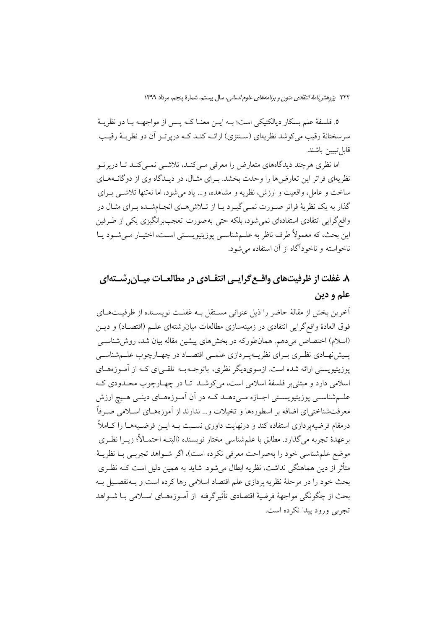٥. فلسفهٔ علم بسکار دیالکتیکی است؛ بـه ایــن معنــا کــه پــس از مواجهــه بــا دو نظریــهٔ سرسختانهٔ رقیب می کوشد نظریهای (سـنتزی) ارائــه کنــد کــه دریر تــو آن دو نظریــهٔ رقیــب قابل تبيين باشند.

اما نظری هر چند دیدگاههای متعارض را معرفی مے کنـد، تلاشــی نمــی کنـد تــا دریر تــو نظریهای فراتر این تعارض ها را وحدت بخشد. بهرای مثـال، در دیـدگاه وی از دوگانـههـای ساخت و عامل، واقعیت و ارزش، نظریه و مشاهده، و… یاد می شود، اما نه تنها تلاشبی بـرای گذار به یک نظریهٔ فراتر صورت نمـی گیـرد یـا از تـلاش هـای انجـامشـده بـرای مثـال در واقع گرایی انتقادی استفادهای نمی شود، بلکه حتی به صورت تعجببرانگیزی یکی از طـرفین اين بحث، كه معمولاً طرف ناظر به علــمشناســي يوزيتيويســتي اســت، اختيــار مــي شــود يــا ناخواسته و ناخودآگاه از آن استفاده می شود.

# ۸. غفلت از ظرفیتهای واقــع گرایــی انتقــادی در مطالعــات میــان٫رشــتهای علم و دين

أخرين بخش از مقالهٔ حاضر را ذيل عنواني مسـتقل بــه غفلـت نويسـنده از ظرفيــتهــاي فوق العادهٔ واقع گرایی انتقادی در زمینهسازی مطالعات میان(شتهای علـم (اقتصـاد) و دیــن (اسلام) اختصاص میدهم. همانطورکه در بخشهای پیشین مقاله بیان شد، روششاسی یسیش نهـادی نظـری بـرای نظریــهیـردازی علمــی اقتصــاد در چهــارچوب علــمشناســی یوزیتیویستی ارائه شده است. ازسویدیگر نظری، باتوجـه بــه تلقــی|ی کــه از آمــوزههــای اسلامي دارد و مبتني بر فلسفهٔ اسلامي است، مي كوشـد تـا در چهـارچوب محـدودي كـه علــمشناســي يوزيتيويســتي اجــازه مــي‹هــد كــه در أن أمــوزههــاي دينــي هــيچ ارزش معرفتشناختیای اضافه بر اسطورهها و تخیلات و… ندارند از آموزههـای اسـلامی صـرفاً درمقام فرضیهپر دازی استفاده کند و درنهایت داوری نسـبت بــه ایــن فرضـیههــا را کــاملاً برعهدهٔ تجربه میگذارد. مطابق با علمشناسی مختار نویسنده (البتـه احتمـالأ؛ زیــرا نظـری موضع علم شناسی خود را بهصراحت معرفی نکرده است)، اگر شـواهد تجربـی بـا نظریــهٔ متأثر از دین هماهنگی نداشت، نظریه ابطال می شود. شاید به همین دلیل است کــه نظــری بحث خود را در مرحلهٔ نظریه پردازی علم اقتصاد اسلامی رها کرده است و بــهتفصــیل بــه بحث از چگونگی مواجههٔ فرضیهٔ اقتصادی تأثیر گرفته از آمـوزههـای اســلامی بــا شــواهد تجربي ورود پيدا نکرده است.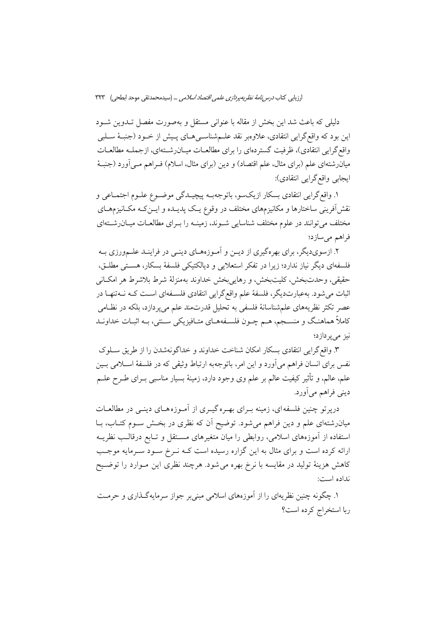دلیلی که باعث شد این بخش از مقاله با عنوانی مستقل و بهصورت مفصل تــدوین شــود اين بود كه واقع گرايبي انتقادي، علاوهبر نقد علــمشناســي هــاي پــيش از خــود (جنبــهٔ ســلبي واقع گرایی انتقادی)، ظرفیت گستردهای را برای مطالعـات میـانرشــتهای، ازجملـه مطالعـات میانرشتهای علم (برای مثال، علم اقتصاد) و دین (برای مثال، اسلام) فـراهم مـی]ورد (جنبـهٔ ايجابي واقع\$رايي انتقادي):

١. واقع گرايي انتقادي بسكار ازيكسو، باتوجهب پيچيـدگي موضـوع علـوم اجتمـاعي و نقش[فرینی ساختارها و مکانیزمهای مختلف در وقوع یـک پدیـده و ایــنکـه مکــانیزمهــای مختلف می توانند در علوم مختلف شناسایی شـوند، زمینـه را بـرای مطالعـات میـان(شـتهای فراهم مىسازد؛

۲. ازسوی دیگر، برای بهرهگیری از دیــن و آمــوزههــای دینــی در فراینــد علــمورزی بــه فلسفهای دیگر نیاز ندارد؛ زیرا در تفکر استعلایی و دیالکتیکی فلسفهٔ بسکار، هسـتی مطلــق، حقيقي، وحدتبخش، كليتبخش، و رهايي بخش خداوند بهمنزلة شرط بلاشرط هر امكـاني اثبات می شود. بهعبارتدیگر، فلسفهٔ علم واقع گرایی انتقادی فلسـفهای اسـت کـه نـهتنهـا در عصر تکثر نظریههای علمشناسانهٔ فلسفی به تحلیل قدرتمند علم میپردازد، بلکه در نظـامی کاملاً هماهنگ و منسـجم، هــم چــون فلســفههــاي متــافيزيکي ســنتي، بــه اثبــات خداونــد نیز می پر دازد؛

۳. واقع گرایی انتقادی بسکار امکان شناخت خداوند و خداگونهشدن را از طریق سـلوک نفس برای انسان فراهم می آورد و این امر، باتوجهبه ارتباط وثیقی که در فلسفهٔ اســلامی بــین علم، عالم، و تأثیر کیفیت عالم بر علم وی وجود دارد، زمینهٔ بسیار مناسبی بــرای طــرح علــم ديني فراهم مي آورد.

دریر تو چنین فلسفه ای، زمینه بـرای بهـره گیـری از آمـوزه هـای دینـی در مطالعـات میان رشتهای علم و دین فراهم می شود. توضیح آن که نظری در بخـش سـوم کتـاب، بـا استفاده از آموزههای اسلامی، روابطی را میان متغیرهای مسـتقل و تـابع درقالـب نظریــه ارائه کرده است و برای مثال به این گزاره رسیده است کـه نـرخ سـود سـرمایه موجـب کاهش هزینهٔ تولید در مقایسه با نرخ بهره میشود. هرچند نظری این مـوارد را توضـیح نداده است:

۱. چگونه چنین نظریهای را از آموزههای اسلامی مبنی بر جواز سرمایهگـذاری و حرمـت ربا استخراج كرده است؟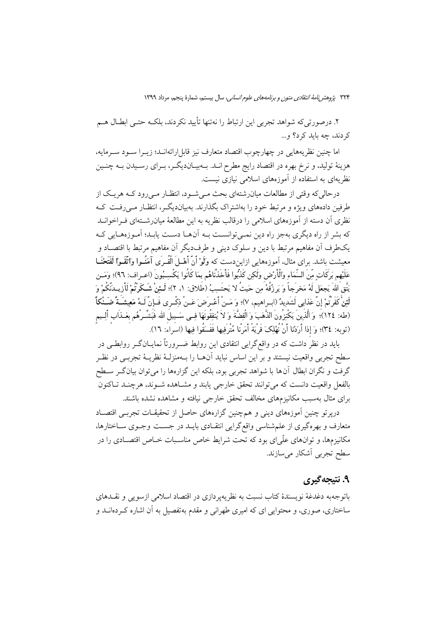۲. درصورتیکه شواهد تجربی این ارتباط را نهتنها تأیید نکردند، بلکـه حتـی ابطــال هــم کردند، چه باید کرد؟ و…

اما چنین نظریههایی در چهارچوب اقتصاد متعارف نیز قابل ارائهانـد؛ زیــرا ســود ســرمایه، هزینهٔ تولید، و نرخ بهره در اقتصاد رایج مطرح انــد. بــهبیــاندیگــر، بــرای رســیدن بــه چنــین نظریهای به استفاده از آموزههای اسلامی نیازی نیست.

درحالي كه وقتي از مطالعات ميان(شتهاي بحث مـي شـود، انتظـار مـي(ود كــه هريـك از طرفین دادههای ویژه و مرتبط خود را بهاشتراک بگذارند. بهبیاندیگ ، انتظـار مـی(فـت کـه نظری آن دسته از آموزههای اسلامی را درقالب نظریه به این مطالعهٔ میانرشــتهای فــراخوانــد که بشر از راه دیگری بهجز راه دین نمبی توانسـت بــه آنهــا دسـت پابــد؛ آمــوزههــایی کــه يكطرف أن مفاهيم مرتبط با دين و سلوك ديني و طرفديگر أن مفاهيم مرتبط با اقتصـاد و معیشت باشد. برای مثال، اَموزههایی ازایندست که وَلَوْ أَنَّ أَهْــلَ الْقُــرَى آمَنُــوا وَاتَّقَــوْا لَفَتَحْنَــا عَلَيْهِم بَرِكَات مِّنَ السِّمَاءِ وَالْأَرْضِ وَلَكِن كَذِّبُوا فَأَخَذْنَاهُم بِمَا كَانُوا يَكْسِبُونَ (اعـراف: ٩٦)؛ وَمَـن يَتَّق اللهَ يَجعَل لَهُ مَخرَجاً وَ يَرزُقُهُ مَن حَيثُ لا يَحتَسِبُ (طَلاق: ١، ٢)؛ لَـئِنْ شَـكَرْتُمْ لَأزيــدَنّكُمْ وَ لَئِنْ كَفَرْتُمْ إنّ عَذابي لَشَدِيدٌ (ابــراهيم، ٧)؛ وَ مَــنْ أَعْــرَضَ عَــنْ ذِكْــرى فَــإنّ لَــهُ مَعِيشَــةً ضَــنْكاً (طه: ١٢٤)؛ وَ الَّذَينَ يَكْنِزُونَ الذَّهَبَ وَ الْفِضَّةَ وَ لاَ يُنفِقُونَهَا فِــى سَـبيلَ الله فَبَشّــرهُم بعَــذَاب ألِــيم (توبه: ٣٤)؛ وَ إِذا أَرَدْنا أَنْ نُهْلِكَ قَرْيَةً أَمَرْنا مُتْرَفِيها فَفَسَقُوا فِيها (اسَراءَ: ١٦).

باید در نظر داشت که در واقع گرایی انتقادی این روابط ضـرورتاً نمایــانگـر روابطـی در سطح تجربي واقعيت نيستند و بر اين اساس نبايد آنهــا را بــهمنزلــهٔ نظريــهٔ تجربــي در نظــر گرفت و نگران ابطال آنها با شواهد تجربی بود، بلکه این گزارهها را میتوان بیانگر سطح بالفعل واقعیت دانست که می توانند تحقق خارجی پابند و مشـاهده شـوند، هرچنـد تـاکنون برای مثال بهسبب مکانیزمهای مخالف تحقق خارجی نیافته و مشاهده نشده باشند.

درپرتو چنین آموزههای دینی و همچنین گزارههای حاصل از تحقیقـات تجربـی اقتصـاد متعارف و بهرهگیری از علمشناسی واقع گرایی انتقـادی بایـد در جسـت وجـوی سـاختارها، مکانیزمها، و توانهای علّی|ی بود که تحت شرایط خاص مناسـبات خــاص اقتصــادی را در سطح تجربي أشكار ميسازند.

### ۹. نتیجهگیری

باتوجهبه دغدغهٔ نویسندهٔ کتاب نسبت به نظریهپردازی در اقتصاد اسلامی ازسویی و نقــدهای ساختاری، صوری، و محتوابی ای که امیری طهرانی و مقدم به تفصیل به آن اشاره کـردهانــد و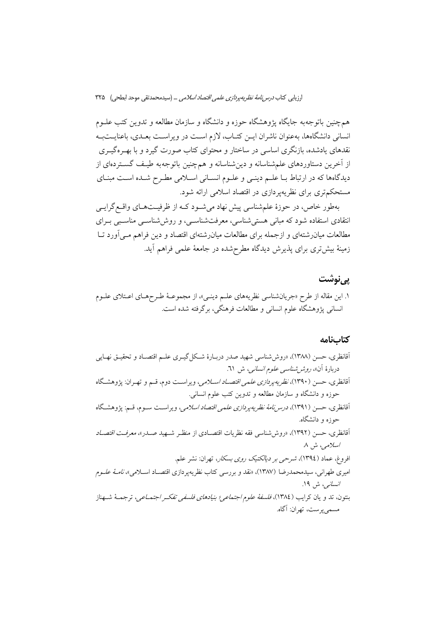همچنین باتوجهبه جایگاه یژوهشگاه حوزه و دانشگاه و سازمان مطالعه و تدوین کتب علــوم انسانی دانشگاهها، بهعنوان ناشران ایــن کتــاب، لازم اســت در ویراســت بعــدی، باعنایــتبــه نقدهای یادشده، بازنگری اساسی در ساختار و محتوای کتاب صورت گیرد و با بهـرهگیــری از آخرین دستاوردهای علمشناسانه و دینشناسانه و همچنین باتوجهبه طیـف گســتردهای از دیدگاهها که در ارتباط بـا علـم دینـی و علـوم انسـانی اسـلامی مطـرح شـده اسـت مبنـای مستحکمتری برای نظریهپردازی در اقتصاد اسلامی ارائه شود.

بهطور خاص، در حوزهٔ علمشناسی پیش نهاد میشود کـه از ظرفیـتهـای واقـع گرایـی انتقادی استفاده شود که مبانی هستی شناسی، معرفتشناسی، و روششناسی مناسبی بـرای مطالعات میانرشتهای و ازجمله برای مطالعات میانرشتهای اقتصاد و دین فراهم مـی|َورد تــا زمینهٔ بیش تری برای پذیرش دیدگاه مطرحشده در جامعهٔ علمی فراهم آید.

## یے نوشت

۱. این مقاله از طرح «جریانشناسی نظریههای علـم دینـی»، از مجموعـهٔ طـرحهـای اعـتلای علـوم انسانی پژوهشگاه علوم انسانی و مطالعات فرهنگی، برگرفته شده است.

#### كتابنامه